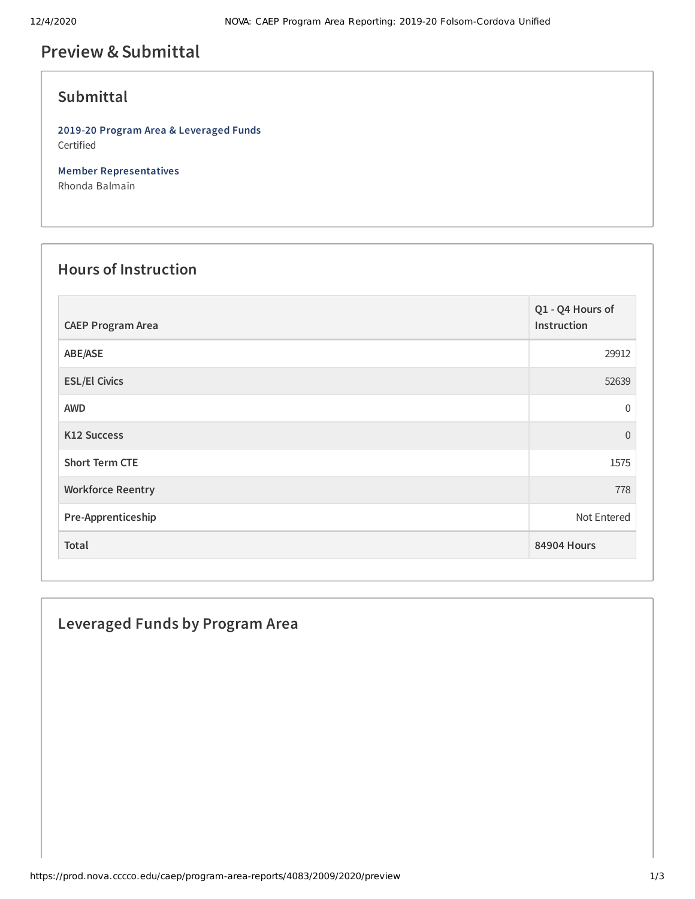# **Preview &Submittal**

## **Submittal**

**2019-20 Program Area & Leveraged Funds** Certified

**Member Representatives** Rhonda Balmain

## **Hours of Instruction**

| <b>CAEP Program Area</b> | Q1 - Q4 Hours of<br>Instruction |
|--------------------------|---------------------------------|
| ABE/ASE                  | 29912                           |
| <b>ESL/El Civics</b>     | 52639                           |
| <b>AWD</b>               | 0                               |
| K12 Success              | $\Omega$                        |
| <b>Short Term CTE</b>    | 1575                            |
| <b>Workforce Reentry</b> | 778                             |
| Pre-Apprenticeship       | Not Entered                     |
| Total                    | <b>84904 Hours</b>              |

## **Leveraged Funds by Program Area**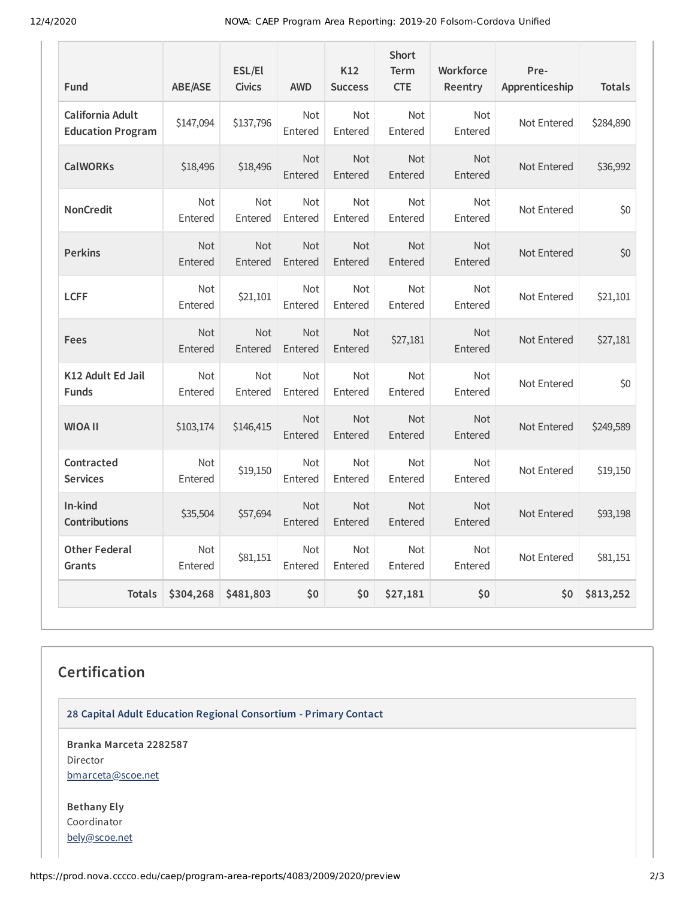12/4/2020 NOVA: CAEP Program Area Reporting: 2019-20 Folsom-Cordova Unified

| Fund                                         | ABE/ASE               | ESL/El<br><b>Civics</b> | <b>AWD</b>            | K12<br><b>Success</b> | <b>Short</b><br><b>Term</b><br><b>CTE</b> | Workforce<br>Reentry  | Pre-<br>Apprenticeship | <b>Totals</b> |
|----------------------------------------------|-----------------------|-------------------------|-----------------------|-----------------------|-------------------------------------------|-----------------------|------------------------|---------------|
| California Adult<br><b>Education Program</b> | \$147,094             | \$137,796               | <b>Not</b><br>Entered | <b>Not</b><br>Entered | <b>Not</b><br>Entered                     | <b>Not</b><br>Entered | Not Entered            | \$284,890     |
| <b>CalWORKs</b>                              | \$18,496              | \$18,496                | <b>Not</b><br>Entered | <b>Not</b><br>Entered | <b>Not</b><br>Entered                     | <b>Not</b><br>Entered | Not Entered            | \$36,992      |
| <b>NonCredit</b>                             | Not<br>Entered        | <b>Not</b><br>Entered   | <b>Not</b><br>Entered | Not<br>Entered        | <b>Not</b><br>Entered                     | <b>Not</b><br>Entered | Not Entered            | \$0           |
| <b>Perkins</b>                               | <b>Not</b><br>Entered | <b>Not</b><br>Entered   | <b>Not</b><br>Entered | <b>Not</b><br>Entered | <b>Not</b><br>Entered                     | <b>Not</b><br>Entered | Not Entered            | \$0           |
| <b>LCFF</b>                                  | <b>Not</b><br>Entered | \$21,101                | <b>Not</b><br>Entered | Not<br>Entered        | Not<br>Entered                            | <b>Not</b><br>Entered | Not Entered            | \$21,101      |
| <b>Fees</b>                                  | <b>Not</b><br>Entered | <b>Not</b><br>Entered   | <b>Not</b><br>Entered | <b>Not</b><br>Entered | \$27,181                                  | <b>Not</b><br>Entered | Not Entered            | \$27,181      |
| K12 Adult Ed Jail<br><b>Funds</b>            | <b>Not</b><br>Entered | <b>Not</b><br>Entered   | <b>Not</b><br>Entered | <b>Not</b><br>Entered | <b>Not</b><br>Entered                     | <b>Not</b><br>Entered | Not Entered            | \$0           |
| <b>WIOA II</b>                               | \$103,174             | \$146,415               | <b>Not</b><br>Entered | <b>Not</b><br>Entered | <b>Not</b><br>Entered                     | <b>Not</b><br>Entered | Not Entered            | \$249,589     |
| Contracted<br><b>Services</b>                | <b>Not</b><br>Entered | \$19,150                | <b>Not</b><br>Entered | <b>Not</b><br>Entered | <b>Not</b><br>Entered                     | <b>Not</b><br>Entered | Not Entered            | \$19,150      |
| In-kind<br><b>Contributions</b>              | \$35,504              | \$57,694                | <b>Not</b><br>Entered | <b>Not</b><br>Entered | <b>Not</b><br>Entered                     | <b>Not</b><br>Entered | Not Entered            | \$93,198      |
| <b>Other Federal</b><br>Grants               | <b>Not</b><br>Entered | \$81,151                | <b>Not</b><br>Entered | <b>Not</b><br>Entered | <b>Not</b><br>Entered                     | <b>Not</b><br>Entered | Not Entered            | \$81,151      |
| <b>Totals</b>                                | \$304,268             | \$481,803               | \$0                   | \$0                   | \$27,181                                  | \$0                   | \$0                    | \$813,252     |

# **Certification**

**28 Capital Adult Education Regional Consortium - Primary Contact**

**Branka Marceta 2282587** Director [bmarceta@scoe.net](mailto:bmarceta@scoe.net)

**Bethany Ely** Coordinator [bely@scoe.net](mailto:bely@scoe.net)